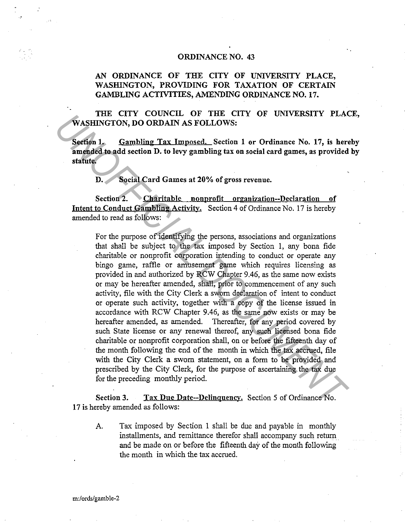## ORDINANCE NO. 43

## AN ORDINANCE OF THE CITY OF UNIVERSITY PLACE, WASHINGTON, PROVIDING FOR TAXATION OF CERTAIN GAMBLING ACTIVITIES, AMENDING ORDINANCE NO. 17.

THE CITY COUNCIL OF THE CITY OF UNIVERSITY PLACE, WASHINGTON, DO ORDAIN AS FOLLOWS:

Section 1. Gambling Tax Imposed. Section 1 or Ordinance No. 17, is hereby amended to add section D. to levy gambling tax on social card games, as provided by statute.

D. Social Card Games at 20% of gross revenue.

Section 2. Charitable nonprofit organization--Declaration of Intent to Conduct Gambling Activity. Section 4 of Ordinance No. 17 is hereby amended to read as follows:

For the purpose of identifying the persons, associations and organizations that shall be subject to the tax imposed by Section l, any bona fide charitable or nonprofit corporation intending to conduct or operate any bingo game, raffle or amusement game which requires licensing as provided in and authorized by RCW Chapter 9.46, as the same now exists or may be hereafter amended, shall, prior to commencement of any such activity, file with the City Clerk a sworn declaration of intent to conduct or operate such activity, together with a copy of the license issued in accordance with RCW Chapter 9.46, as the same now exists or may be hereafter amended, as amended. Thereafter, for any period covered by such State license or any renewal thereof, any such licensed bona fide charitable or nonprofit corporation shall, on or before the fifteenth day of the month following the end of the month in which the tax accrued, file with the City Clerk a sworn statement, on a form to be provided and prescribed by the City Clerk, for the purpose of ascertaining the tax due for the preceding monthly period. **THE CITY CONOUGLY OF THE CITY OF UNIVERSITY PLACE THE CAST CONOUGLY CONDUCTS:**<br> **Seeffon 1. Gambling Tax Imposed.** Seefuon 1 or Ordinance No. 17, is here anneaded to add section D. to levy gambling tax on social card ga

Section 3. Tax Due Date--Delinquency. Section 5 of Ordinance No. 17 is hereby amended as follows:

A. Tax imposed by Section 1 shall be due and payable in monthly installments, and remittance therefor shall accompany such return and be made on or before the fifteenth day of the month following the month in which the tax accrued.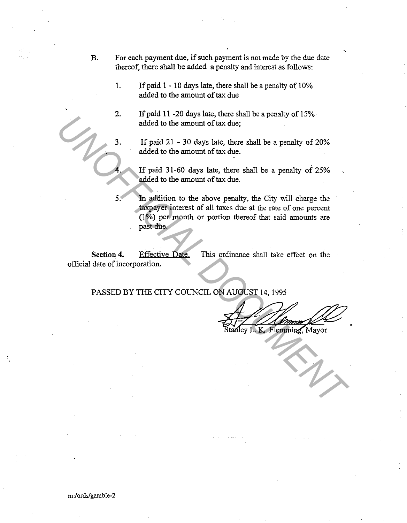- **B.** For each payment due, if such payment is not made by the due date thereof, there shall be added a penalty and interest as follows:
	- **1.** If paid 1 10 days late, there shall be a penalty of 10% added to the amount of tax due
	- 2. If paid 11 -20 days late, there shall be a penalty of 15%· added to the amount of tax due;
	-

·,

·.

3. If paid 21 - 30 days late, there shall be a penalty of 20% added to the amount of tax due.

**4.** If paid 31-60 days late, there shall be a penalty of 25% added to the amount of tax due.

5. In addition to the above penalty, the City will charge the taxpayer interest of all taxes due at the rate of one percent (1 %) per month or portion thereof that said amounts are past due. 2. In paid 21 - 30 days late, there shall be a penalty of 20%<br>added to the amount of tax due;<br>If paid 21 - 30 days late, there shall be a penalty of 20%<br>added to the amount of tax due.<br>If paid 31-60 days late, there shall

Section 4. **Effective Date.** This ordinance shall take effect on the official date of incorporation.

PASSED BY THE CITY COUNCIL ON AUGUST 14, 1995